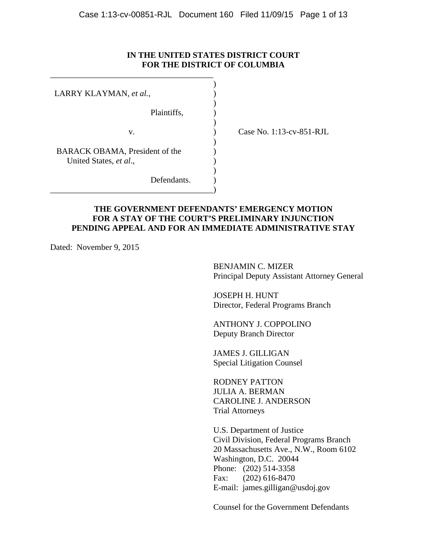### **IN THE UNITED STATES DISTRICT COURT FOR THE DISTRICT OF COLUMBIA**

) )

) ) )

| LARRY KLAYMAN, et al.,                                   |  |
|----------------------------------------------------------|--|
| Plaintiffs,                                              |  |
| v.                                                       |  |
| BARACK OBAMA, President of the<br>United States, et al., |  |
| Defendants.                                              |  |

\_\_\_\_\_\_\_\_\_\_\_\_\_\_\_\_\_\_\_\_\_\_\_\_\_\_\_\_\_\_\_\_\_\_\_\_\_\_\_

) Case No. 1:13-cv-851-RJL

### **THE GOVERNMENT DEFENDANTS' EMERGENCY MOTION FOR A STAY OF THE COURT'S PRELIMINARY INJUNCTION PENDING APPEAL AND FOR AN IMMEDIATE ADMINISTRATIVE STAY**

Dated: November 9, 2015

BENJAMIN C. MIZER Principal Deputy Assistant Attorney General

JOSEPH H. HUNT Director, Federal Programs Branch

ANTHONY J. COPPOLINO Deputy Branch Director

JAMES J. GILLIGAN Special Litigation Counsel

RODNEY PATTON JULIA A. BERMAN CAROLINE J. ANDERSON Trial Attorneys

U.S. Department of Justice Civil Division, Federal Programs Branch 20 Massachusetts Ave., N.W., Room 6102 Washington, D.C. 20044 Phone: (202) 514-3358 Fax: (202) 616-8470 E-mail: james.gilligan@usdoj.gov

Counsel for the Government Defendants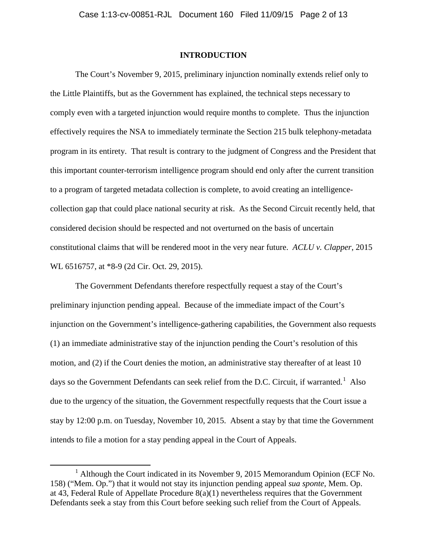#### **INTRODUCTION**

The Court's November 9, 2015, preliminary injunction nominally extends relief only to the Little Plaintiffs, but as the Government has explained, the technical steps necessary to comply even with a targeted injunction would require months to complete. Thus the injunction effectively requires the NSA to immediately terminate the Section 215 bulk telephony-metadata program in its entirety. That result is contrary to the judgment of Congress and the President that this important counter-terrorism intelligence program should end only after the current transition to a program of targeted metadata collection is complete, to avoid creating an intelligencecollection gap that could place national security at risk. As the Second Circuit recently held, that considered decision should be respected and not overturned on the basis of uncertain constitutional claims that will be rendered moot in the very near future. *ACLU v. Clapper*, 2015 WL 6516757, at \*8-9 (2d Cir. Oct. 29, 2015).

The Government Defendants therefore respectfully request a stay of the Court's preliminary injunction pending appeal. Because of the immediate impact of the Court's injunction on the Government's intelligence-gathering capabilities, the Government also requests (1) an immediate administrative stay of the injunction pending the Court's resolution of this motion, and (2) if the Court denies the motion, an administrative stay thereafter of at least 10 days so the Government Defendants can seek relief from the D.C. Circuit, if warranted.<sup>1</sup> Also due to the urgency of the situation, the Government respectfully requests that the Court issue a stay by 12:00 p.m. on Tuesday, November 10, 2015. Absent a stay by that time the Government intends to file a motion for a stay pending appeal in the Court of Appeals.

<sup>&</sup>lt;u>1</u> <sup>1</sup> Although the Court indicated in its November 9, 2015 Memorandum Opinion (ECF No. 158) ("Mem. Op.") that it would not stay its injunction pending appeal *sua sponte*, Mem. Op. at 43, Federal Rule of Appellate Procedure 8(a)(1) nevertheless requires that the Government Defendants seek a stay from this Court before seeking such relief from the Court of Appeals.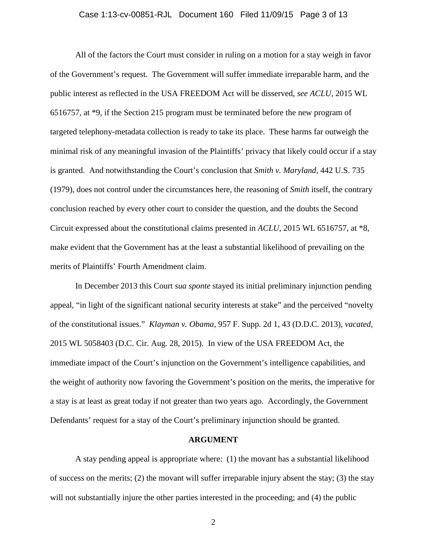# Case 1:13-cv-00851-RJL Document 160 Filed 11/09/15 Page 3 of 13

 All of the factors the Court must consider in ruling on a motion for a stay weigh in favor of the Government's request. The Government will suffer immediate irreparable harm, and the public interest as reflected in the USA FREEDOM Act will be disserved, *see ACLU*, 2015 WL 6516757, at \*9, if the Section 215 program must be terminated before the new program of targeted telephony-metadata collection is ready to take its place. These harms far outweigh the minimal risk of any meaningful invasion of the Plaintiffs' privacy that likely could occur if a stay is granted. And notwithstanding the Court's conclusion that *Smith v. Maryland*, 442 U.S. 735 (1979), does not control under the circumstances here, the reasoning of *Smith* itself, the contrary conclusion reached by every other court to consider the question, and the doubts the Second Circuit expressed about the constitutional claims presented in *ACLU*, 2015 WL 6516757, at \*8, make evident that the Government has at the least a substantial likelihood of prevailing on the merits of Plaintiffs' Fourth Amendment claim.

 In December 2013 this Court *sua sponte* stayed its initial preliminary injunction pending appeal, "in light of the significant national security interests at stake" and the perceived "novelty of the constitutional issues." *Klayman v. Obama*, 957 F. Supp. 2d 1, 43 (D.D.C. 2013), *vacated,*  2015 WL 5058403 (D.C. Cir. Aug. 28, 2015). In view of the USA FREEDOM Act, the immediate impact of the Court's injunction on the Government's intelligence capabilities, and the weight of authority now favoring the Government's position on the merits, the imperative for a stay is at least as great today if not greater than two years ago. Accordingly, the Government Defendants' request for a stay of the Court's preliminary injunction should be granted.

#### **ARGUMENT**

A stay pending appeal is appropriate where: (1) the movant has a substantial likelihood of success on the merits; (2) the movant will suffer irreparable injury absent the stay; (3) the stay will not substantially injure the other parties interested in the proceeding; and (4) the public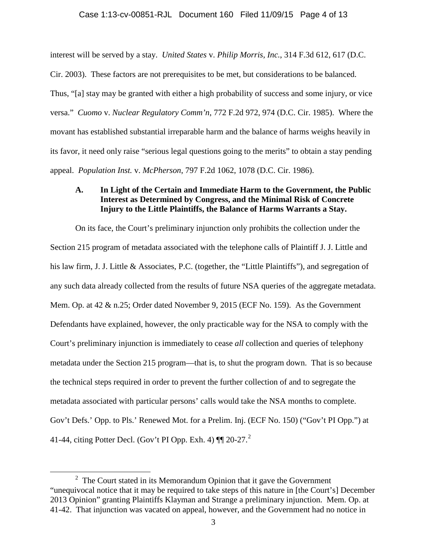interest will be served by a stay. *United States* v. *Philip Morris, Inc.*, 314 F.3d 612, 617 (D.C.

Cir. 2003). These factors are not prerequisites to be met, but considerations to be balanced. Thus, "[a] stay may be granted with either a high probability of success and some injury, or vice versa." *Cuomo* v. *Nuclear Regulatory Comm'n*, 772 F.2d 972, 974 (D.C. Cir. 1985). Where the movant has established substantial irreparable harm and the balance of harms weighs heavily in its favor, it need only raise "serious legal questions going to the merits" to obtain a stay pending appeal. *Population Inst.* v. *McPherson*, 797 F.2d 1062, 1078 (D.C. Cir. 1986).

## **A. In Light of the Certain and Immediate Harm to the Government, the Public Interest as Determined by Congress, and the Minimal Risk of Concrete Injury to the Little Plaintiffs, the Balance of Harms Warrants a Stay.**

On its face, the Court's preliminary injunction only prohibits the collection under the Section 215 program of metadata associated with the telephone calls of Plaintiff J. J. Little and his law firm, J. J. Little & Associates, P.C. (together, the "Little Plaintiffs"), and segregation of any such data already collected from the results of future NSA queries of the aggregate metadata. Mem. Op. at 42 & n.25; Order dated November 9, 2015 (ECF No. 159). As the Government Defendants have explained, however, the only practicable way for the NSA to comply with the Court's preliminary injunction is immediately to cease *all* collection and queries of telephony metadata under the Section 215 program—that is, to shut the program down. That is so because the technical steps required in order to prevent the further collection of and to segregate the metadata associated with particular persons' calls would take the NSA months to complete. Gov't Defs.' Opp. to Pls.' Renewed Mot. for a Prelim. Inj. (ECF No. 150) ("Gov't PI Opp.") at 41-44, citing Potter Decl. (Gov't PI Opp. Exh. 4)  $\P$  $[20-27.<sup>2</sup>$ 

 $\overline{\phantom{a}2}$  $2$  The Court stated in its Memorandum Opinion that it gave the Government "unequivocal notice that it may be required to take steps of this nature in [the Court's] December 2013 Opinion" granting Plaintiffs Klayman and Strange a preliminary injunction. Mem. Op. at 41-42. That injunction was vacated on appeal, however, and the Government had no notice in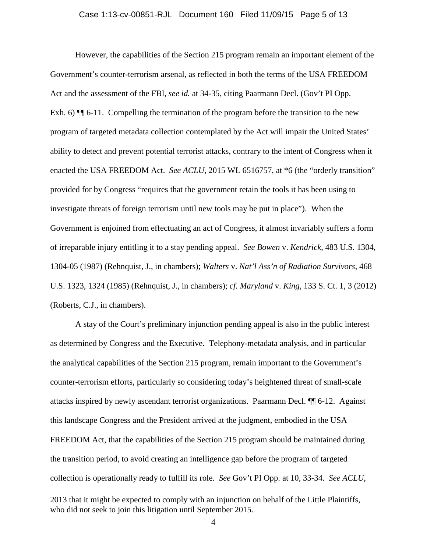# Case 1:13-cv-00851-RJL Document 160 Filed 11/09/15 Page 5 of 13

 However, the capabilities of the Section 215 program remain an important element of the Government's counter-terrorism arsenal, as reflected in both the terms of the USA FREEDOM Act and the assessment of the FBI, *see id.* at 34-35, citing Paarmann Decl. (Gov't PI Opp. Exh. 6)  $\P$  6-11. Compelling the termination of the program before the transition to the new program of targeted metadata collection contemplated by the Act will impair the United States' ability to detect and prevent potential terrorist attacks, contrary to the intent of Congress when it enacted the USA FREEDOM Act. *See ACLU*, 2015 WL 6516757, at  $*6$  (the "orderly transition" provided for by Congress "requires that the government retain the tools it has been using to investigate threats of foreign terrorism until new tools may be put in place"). When the Government is enjoined from effectuating an act of Congress, it almost invariably suffers a form of irreparable injury entitling it to a stay pending appeal. *See Bowen* v. *Kendrick*, 483 U.S. 1304, 1304-05 (1987) (Rehnquist, J., in chambers); *Walters* v. *Nat'l Ass'n of Radiation Survivors*, 468 U.S. 1323, 1324 (1985) (Rehnquist, J., in chambers); *cf. Maryland* v. *King*, 133 S. Ct. 1, 3 (2012) (Roberts, C.J., in chambers).

A stay of the Court's preliminary injunction pending appeal is also in the public interest as determined by Congress and the Executive. Telephony-metadata analysis, and in particular the analytical capabilities of the Section 215 program, remain important to the Government's counter-terrorism efforts, particularly so considering today's heightened threat of small-scale attacks inspired by newly ascendant terrorist organizations. Paarmann Decl. ¶¶ 6-12. Against this landscape Congress and the President arrived at the judgment, embodied in the USA FREEDOM Act, that the capabilities of the Section 215 program should be maintained during the transition period, to avoid creating an intelligence gap before the program of targeted collection is operationally ready to fulfill its role. *See* Gov't PI Opp. at 10, 33-34. *See ACLU*,

 $\overline{a}$ 

<sup>2013</sup> that it might be expected to comply with an injunction on behalf of the Little Plaintiffs, who did not seek to join this litigation until September 2015.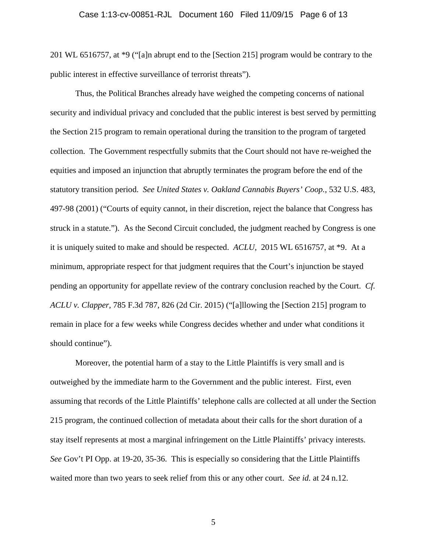201 WL 6516757, at \*9 ("[a]n abrupt end to the [Section 215] program would be contrary to the public interest in effective surveillance of terrorist threats").

 Thus, the Political Branches already have weighed the competing concerns of national security and individual privacy and concluded that the public interest is best served by permitting the Section 215 program to remain operational during the transition to the program of targeted collection. The Government respectfully submits that the Court should not have re-weighed the equities and imposed an injunction that abruptly terminates the program before the end of the statutory transition period. *See United States v. Oakland Cannabis Buyers' Coop.*, 532 U.S. 483, 497-98 (2001) ("Courts of equity cannot, in their discretion, reject the balance that Congress has struck in a statute."). As the Second Circuit concluded, the judgment reached by Congress is one it is uniquely suited to make and should be respected. *ACLU*, 2015 WL 6516757, at \*9. At a minimum, appropriate respect for that judgment requires that the Court's injunction be stayed pending an opportunity for appellate review of the contrary conclusion reached by the Court. *Cf. ACLU v. Clapper,* 785 F.3d 787, 826 (2d Cir. 2015) ("[a]llowing the [Section 215] program to remain in place for a few weeks while Congress decides whether and under what conditions it should continue").

 Moreover, the potential harm of a stay to the Little Plaintiffs is very small and is outweighed by the immediate harm to the Government and the public interest. First, even assuming that records of the Little Plaintiffs' telephone calls are collected at all under the Section 215 program, the continued collection of metadata about their calls for the short duration of a stay itself represents at most a marginal infringement on the Little Plaintiffs' privacy interests. *See* Gov't PI Opp. at 19-20, 35-36. This is especially so considering that the Little Plaintiffs waited more than two years to seek relief from this or any other court. *See id.* at 24 n.12.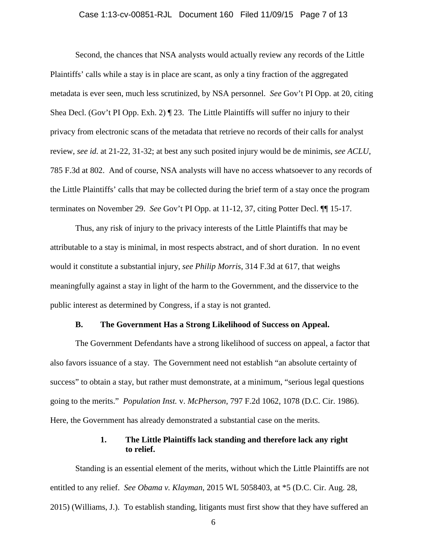# Case 1:13-cv-00851-RJL Document 160 Filed 11/09/15 Page 7 of 13

Second, the chances that NSA analysts would actually review any records of the Little Plaintiffs' calls while a stay is in place are scant, as only a tiny fraction of the aggregated metadata is ever seen, much less scrutinized, by NSA personnel. *See* Gov't PI Opp. at 20, citing Shea Decl. (Gov't PI Opp. Exh. 2)  $\P$  23. The Little Plaintiffs will suffer no injury to their privacy from electronic scans of the metadata that retrieve no records of their calls for analyst review, *see id.* at 21-22, 31-32; at best any such posited injury would be de minimis, *see ACLU*, 785 F.3d at 802. And of course, NSA analysts will have no access whatsoever to any records of the Little Plaintiffs' calls that may be collected during the brief term of a stay once the program terminates on November 29. *See* Gov't PI Opp. at 11-12, 37, citing Potter Decl. ¶¶ 15-17.

Thus, any risk of injury to the privacy interests of the Little Plaintiffs that may be attributable to a stay is minimal, in most respects abstract, and of short duration. In no event would it constitute a substantial injury, *see Philip Morris*, 314 F.3d at 617, that weighs meaningfully against a stay in light of the harm to the Government, and the disservice to the public interest as determined by Congress, if a stay is not granted.

#### **B. The Government Has a Strong Likelihood of Success on Appeal.**

The Government Defendants have a strong likelihood of success on appeal, a factor that also favors issuance of a stay. The Government need not establish "an absolute certainty of success" to obtain a stay, but rather must demonstrate, at a minimum, "serious legal questions going to the merits." *Population Inst.* v. *McPherson*, 797 F.2d 1062, 1078 (D.C. Cir. 1986). Here, the Government has already demonstrated a substantial case on the merits.

### **1. The Little Plaintiffs lack standing and therefore lack any right to relief.**

Standing is an essential element of the merits, without which the Little Plaintiffs are not entitled to any relief. *See Obama v. Klayman*, 2015 WL 5058403, at \*5 (D.C. Cir. Aug. 28, 2015) (Williams, J.). To establish standing, litigants must first show that they have suffered an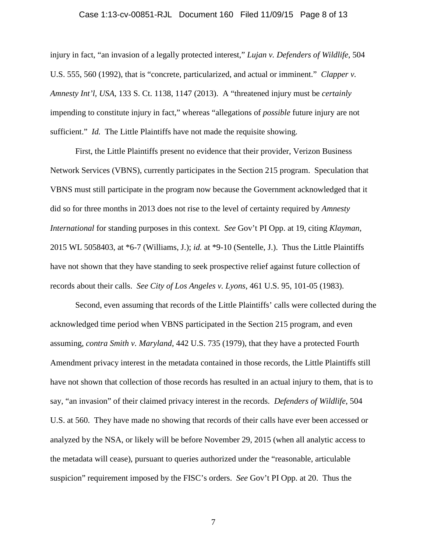#### Case 1:13-cv-00851-RJL Document 160 Filed 11/09/15 Page 8 of 13

injury in fact, "an invasion of a legally protected interest," *Lujan v. Defenders of Wildlife*, 504 U.S. 555, 560 (1992), that is "concrete, particularized, and actual or imminent." *Clapper v. Amnesty Int'l, USA*, 133 S. Ct. 1138, 1147 (2013). A "threatened injury must be *certainly* impending to constitute injury in fact," whereas "allegations of *possible* future injury are not sufficient." *Id.* The Little Plaintiffs have not made the requisite showing.

 First, the Little Plaintiffs present no evidence that their provider, Verizon Business Network Services (VBNS), currently participates in the Section 215 program. Speculation that VBNS must still participate in the program now because the Government acknowledged that it did so for three months in 2013 does not rise to the level of certainty required by *Amnesty International* for standing purposes in this context. *See* Gov't PI Opp. at 19, citing *Klayman*, 2015 WL 5058403, at \*6-7 (Williams, J.); *id.* at \*9-10 (Sentelle, J.). Thus the Little Plaintiffs have not shown that they have standing to seek prospective relief against future collection of records about their calls. *See City of Los Angeles v. Lyons*, 461 U.S. 95, 101-05 (1983).

Second, even assuming that records of the Little Plaintiffs' calls were collected during the acknowledged time period when VBNS participated in the Section 215 program, and even assuming, *contra Smith v. Maryland*, 442 U.S. 735 (1979), that they have a protected Fourth Amendment privacy interest in the metadata contained in those records, the Little Plaintiffs still have not shown that collection of those records has resulted in an actual injury to them, that is to say, "an invasion" of their claimed privacy interest in the records. *Defenders of Wildlife*, 504 U.S. at 560. They have made no showing that records of their calls have ever been accessed or analyzed by the NSA, or likely will be before November 29, 2015 (when all analytic access to the metadata will cease), pursuant to queries authorized under the "reasonable, articulable suspicion" requirement imposed by the FISC's orders. *See* Gov't PI Opp. at 20. Thus the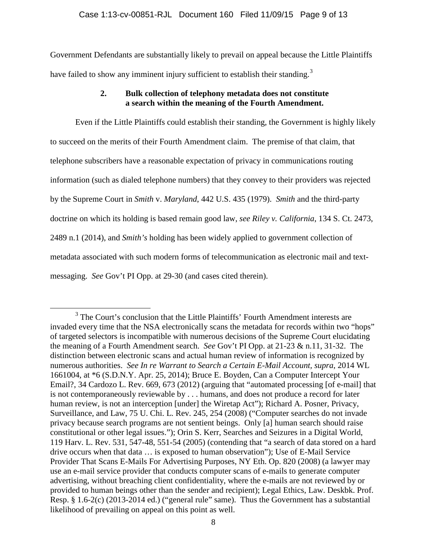Government Defendants are substantially likely to prevail on appeal because the Little Plaintiffs have failed to show any imminent injury sufficient to establish their standing.<sup>3</sup>

## **2. Bulk collection of telephony metadata does not constitute a search within the meaning of the Fourth Amendment.**

 Even if the Little Plaintiffs could establish their standing, the Government is highly likely to succeed on the merits of their Fourth Amendment claim. The premise of that claim, that telephone subscribers have a reasonable expectation of privacy in communications routing information (such as dialed telephone numbers) that they convey to their providers was rejected by the Supreme Court in *Smith* v. *Maryland*, 442 U.S. 435 (1979). *Smith* and the third-party doctrine on which its holding is based remain good law, *see Riley v. California*, 134 S. Ct. 2473, 2489 n.1 (2014), and *Smith's* holding has been widely applied to government collection of metadata associated with such modern forms of telecommunication as electronic mail and textmessaging. *See* Gov't PI Opp. at 29-30 (and cases cited therein).

 $3$  The Court's conclusion that the Little Plaintiffs' Fourth Amendment interests are invaded every time that the NSA electronically scans the metadata for records within two "hops" of targeted selectors is incompatible with numerous decisions of the Supreme Court elucidating the meaning of a Fourth Amendment search. *See* Gov't PI Opp. at 21-23 & n.11, 31-32. The distinction between electronic scans and actual human review of information is recognized by numerous authorities. *See In re Warrant to Search a Certain E-Mail Account, supra*, 2014 WL 1661004, at \*6 (S.D.N.Y. Apr. 25, 2014); Bruce E. Boyden, Can a Computer Intercept Your Email?, 34 Cardozo L. Rev. 669, 673 (2012) (arguing that "automated processing [of e-mail] that is not contemporaneously reviewable by . . . humans, and does not produce a record for later human review, is not an interception [under] the Wiretap Act"); Richard A. Posner, Privacy, Surveillance, and Law, 75 U. Chi. L. Rev. 245, 254 (2008) ("Computer searches do not invade privacy because search programs are not sentient beings. Only [a] human search should raise constitutional or other legal issues."); Orin S. Kerr, Searches and Seizures in a Digital World, 119 Harv. L. Rev. 531, 547-48, 551-54 (2005) (contending that "a search of data stored on a hard drive occurs when that data … is exposed to human observation"); Use of E-Mail Service Provider That Scans E-Mails For Advertising Purposes, NY Eth. Op. 820 (2008) (a lawyer may use an e-mail service provider that conducts computer scans of e-mails to generate computer advertising, without breaching client confidentiality, where the e-mails are not reviewed by or provided to human beings other than the sender and recipient); Legal Ethics, Law. Deskbk. Prof. Resp. § 1.6-2(c) (2013-2014 ed.) ("general rule" same). Thus the Government has a substantial likelihood of prevailing on appeal on this point as well.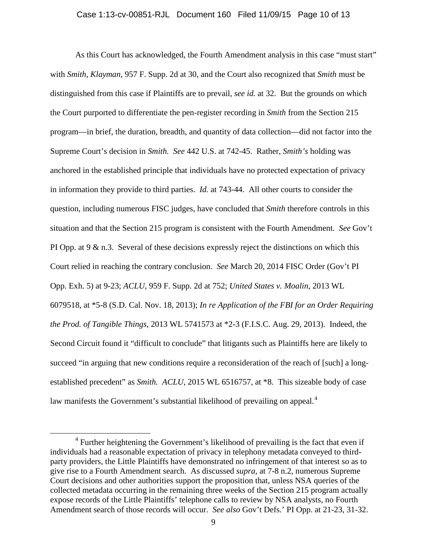As this Court has acknowledged, the Fourth Amendment analysis in this case "must start" with *Smith*, *Klayman*, 957 F. Supp. 2d at 30, and the Court also recognized that *Smith* must be distinguished from this case if Plaintiffs are to prevail, *see id.* at 32. But the grounds on which the Court purported to differentiate the pen-register recording in *Smith* from the Section 215 program—in brief, the duration, breadth, and quantity of data collection—did not factor into the Supreme Court's decision in *Smith. See* 442 U.S. at 742-45. Rather, *Smith's* holding was anchored in the established principle that individuals have no protected expectation of privacy in information they provide to third parties. *Id.* at 743-44. All other courts to consider the question, including numerous FISC judges, have concluded that *Smith* therefore controls in this situation and that the Section 215 program is consistent with the Fourth Amendment. *See* Gov't PI Opp. at  $9 \& n.3$ . Several of these decisions expressly reject the distinctions on which this Court relied in reaching the contrary conclusion. *See* March 20, 2014 FISC Order (Gov't PI Opp. Exh. 5) at 9-23; *ACLU*, 959 F. Supp. 2d at 752; *United States v. Moalin*, 2013 WL 6079518, at \*5-8 (S.D. Cal. Nov. 18, 2013); *In re Application of the FBI for an Order Requiring the Prod. of Tangible Things*, 2013 WL 5741573 at \*2-3 (F.I.S.C. Aug. 29, 2013). Indeed, the Second Circuit found it "difficult to conclude" that litigants such as Plaintiffs here are likely to succeed "in arguing that new conditions require a reconsideration of the reach of [such] a longestablished precedent" as *Smith. ACLU*, 2015 WL 6516757, at \*8. This sizeable body of case law manifests the Government's substantial likelihood of prevailing on appeal.<sup>4</sup>

 $\overline{4}$  $4$  Further heightening the Government's likelihood of prevailing is the fact that even if individuals had a reasonable expectation of privacy in telephony metadata conveyed to thirdparty providers, the Little Plaintiffs have demonstrated no infringement of that interest so as to give rise to a Fourth Amendment search. As discussed *supra*, at 7-8 n.2, numerous Supreme Court decisions and other authorities support the proposition that, unless NSA queries of the collected metadata occurring in the remaining three weeks of the Section 215 program actually expose records of the Little Plaintiffs' telephone calls to review by NSA analysts, no Fourth Amendment search of those records will occur. *See also* Gov't Defs.' PI Opp. at 21-23, 31-32.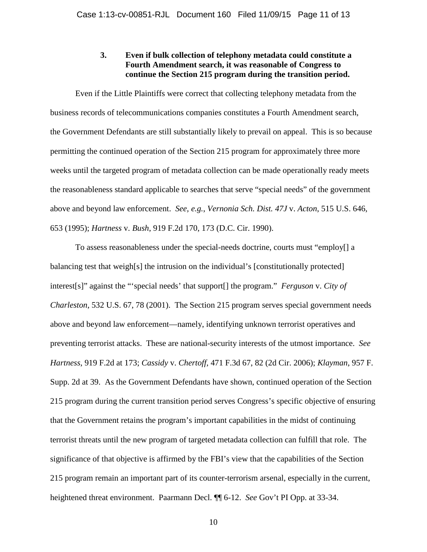## **3. Even if bulk collection of telephony metadata could constitute a Fourth Amendment search, it was reasonable of Congress to continue the Section 215 program during the transition period.**

 Even if the Little Plaintiffs were correct that collecting telephony metadata from the business records of telecommunications companies constitutes a Fourth Amendment search, the Government Defendants are still substantially likely to prevail on appeal. This is so because permitting the continued operation of the Section 215 program for approximately three more weeks until the targeted program of metadata collection can be made operationally ready meets the reasonableness standard applicable to searches that serve "special needs" of the government above and beyond law enforcement. *See, e.g.*, *Vernonia Sch. Dist. 47J* v. *Acton*, 515 U.S. 646, 653 (1995); *Hartness* v. *Bush*, 919 F.2d 170, 173 (D.C. Cir. 1990).

To assess reasonableness under the special-needs doctrine, courts must "employ[] a balancing test that weigh[s] the intrusion on the individual's [constitutionally protected] interest[s]" against the "'special needs' that support[] the program." *Ferguson* v. *City of Charleston*, 532 U.S. 67, 78 (2001). The Section 215 program serves special government needs above and beyond law enforcement—namely, identifying unknown terrorist operatives and preventing terrorist attacks. These are national-security interests of the utmost importance. *See Hartness*, 919 F.2d at 173; *Cassidy* v. *Chertoff*, 471 F.3d 67, 82 (2d Cir. 2006); *Klayman*, 957 F. Supp. 2d at 39. As the Government Defendants have shown, continued operation of the Section 215 program during the current transition period serves Congress's specific objective of ensuring that the Government retains the program's important capabilities in the midst of continuing terrorist threats until the new program of targeted metadata collection can fulfill that role. The significance of that objective is affirmed by the FBI's view that the capabilities of the Section 215 program remain an important part of its counter-terrorism arsenal, especially in the current, heightened threat environment. Paarmann Decl. ¶¶ 6-12. *See* Gov't PI Opp. at 33-34.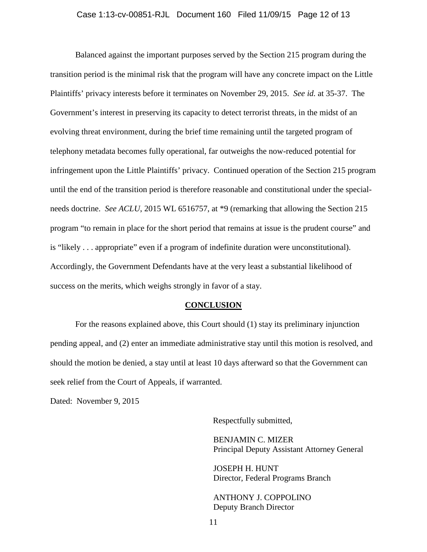Balanced against the important purposes served by the Section 215 program during the transition period is the minimal risk that the program will have any concrete impact on the Little Plaintiffs' privacy interests before it terminates on November 29, 2015. *See id.* at 35-37. The Government's interest in preserving its capacity to detect terrorist threats, in the midst of an evolving threat environment, during the brief time remaining until the targeted program of telephony metadata becomes fully operational, far outweighs the now-reduced potential for infringement upon the Little Plaintiffs' privacy. Continued operation of the Section 215 program until the end of the transition period is therefore reasonable and constitutional under the specialneeds doctrine. *See ACLU*, 2015 WL 6516757, at \*9 (remarking that allowing the Section 215 program "to remain in place for the short period that remains at issue is the prudent course" and is "likely . . . appropriate" even if a program of indefinite duration were unconstitutional). Accordingly, the Government Defendants have at the very least a substantial likelihood of success on the merits, which weighs strongly in favor of a stay.

#### **CONCLUSION**

 For the reasons explained above, this Court should (1) stay its preliminary injunction pending appeal, and (2) enter an immediate administrative stay until this motion is resolved, and should the motion be denied, a stay until at least 10 days afterward so that the Government can seek relief from the Court of Appeals, if warranted.

Dated: November 9, 2015

Respectfully submitted,

BENJAMIN C. MIZER Principal Deputy Assistant Attorney General

JOSEPH H. HUNT Director, Federal Programs Branch

ANTHONY J. COPPOLINO Deputy Branch Director